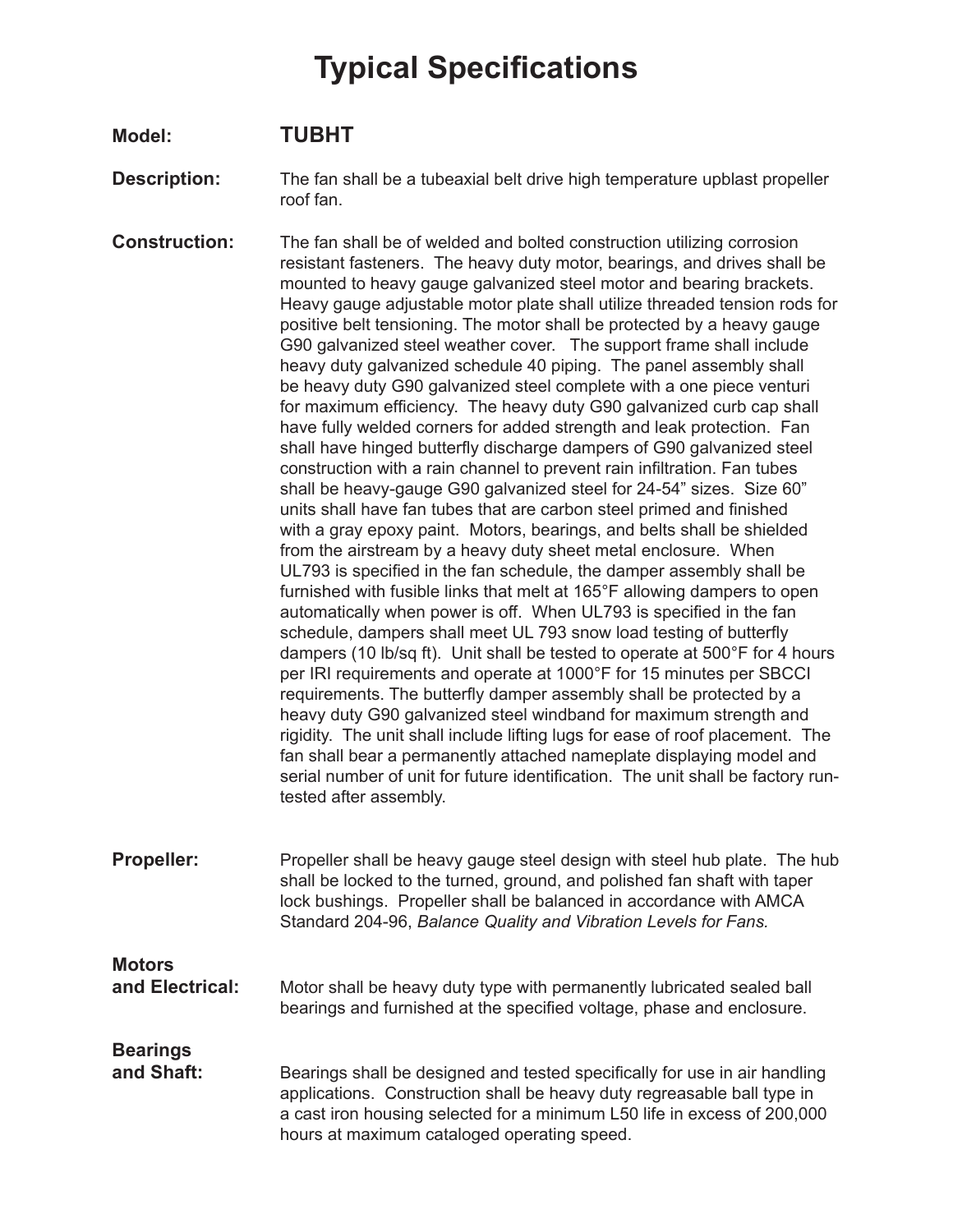## **Typical Specifications**

## **Model: TUBHT**

- **Description:** The fan shall be a tubeaxial belt drive high temperature upblast propeller roof fan.
- **Construction:** The fan shall be of welded and bolted construction utilizing corrosion resistant fasteners. The heavy duty motor, bearings, and drives shall be mounted to heavy gauge galvanized steel motor and bearing brackets. Heavy gauge adjustable motor plate shall utilize threaded tension rods for positive belt tensioning. The motor shall be protected by a heavy gauge G90 galvanized steel weather cover. The support frame shall include heavy duty galvanized schedule 40 piping. The panel assembly shall be heavy duty G90 galvanized steel complete with a one piece venturi for maximum efficiency. The heavy duty G90 galvanized curb cap shall have fully welded corners for added strength and leak protection. Fan shall have hinged butterfly discharge dampers of G90 galvanized steel construction with a rain channel to prevent rain infiltration. Fan tubes shall be heavy-gauge G90 galvanized steel for 24-54" sizes. Size 60" units shall have fan tubes that are carbon steel primed and finished with a gray epoxy paint. Motors, bearings, and belts shall be shielded from the airstream by a heavy duty sheet metal enclosure. When UL793 is specified in the fan schedule, the damper assembly shall be furnished with fusible links that melt at 165°F allowing dampers to open automatically when power is off. When UL793 is specified in the fan schedule, dampers shall meet UL 793 snow load testing of butterfly dampers (10 lb/sq ft). Unit shall be tested to operate at 500°F for 4 hours per IRI requirements and operate at 1000°F for 15 minutes per SBCCI requirements. The butterfly damper assembly shall be protected by a heavy duty G90 galvanized steel windband for maximum strength and rigidity. The unit shall include lifting lugs for ease of roof placement. The fan shall bear a permanently attached nameplate displaying model and serial number of unit for future identification. The unit shall be factory runtested after assembly.
- **Propeller:** Propeller shall be heavy gauge steel design with steel hub plate. The hub shall be locked to the turned, ground, and polished fan shaft with taper lock bushings. Propeller shall be balanced in accordance with AMCA Standard 204-96, *Balance Quality and Vibration Levels for Fans.*

## **Motors**<br>and Electrical:

Motor shall be heavy duty type with permanently lubricated sealed ball bearings and furnished at the specified voltage, phase and enclosure.

## **Bearings**

**and Shaft:** Bearings shall be designed and tested specifically for use in air handling applications. Construction shall be heavy duty regreasable ball type in a cast iron housing selected for a minimum L50 life in excess of 200,000 hours at maximum cataloged operating speed.